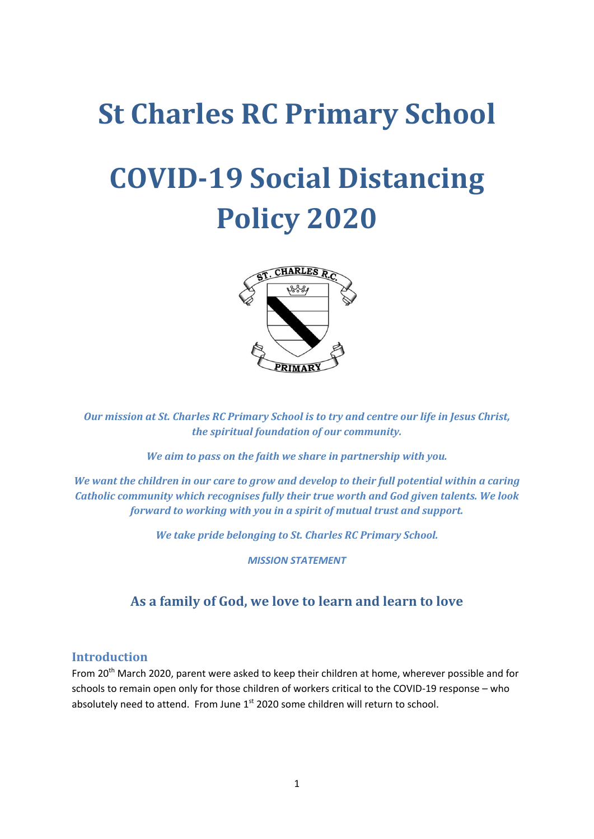## **St Charles RC Primary School**

# **COVID-19 Social Distancing Policy 2020**



*Our mission at St. Charles RC Primary School is to try and centre our life in Jesus Christ, the spiritual foundation of our community.*

*We aim to pass on the faith we share in partnership with you.*

*We want the children in our care to grow and develop to their full potential within a caring Catholic community which recognises fully their true worth and God given talents. We look forward to working with you in a spirit of mutual trust and support.*

*We take pride belonging to St. Charles RC Primary School.*

*MISSION STATEMENT*

#### **As a family of God, we love to learn and learn to love**

#### **Introduction**

From 20<sup>th</sup> March 2020, parent were asked to keep their children at home, wherever possible and for schools to remain open only for those children of workers critical to the COVID-19 response – who absolutely need to attend. From June 1<sup>st</sup> 2020 some children will return to school.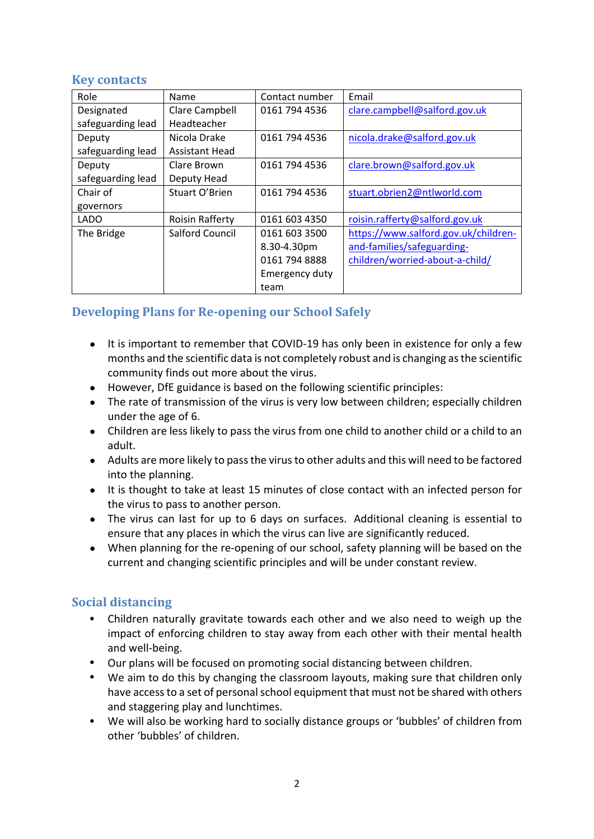#### **Key contacts**

| Role              | Name                   | Contact number | Email                                |
|-------------------|------------------------|----------------|--------------------------------------|
| Designated        | Clare Campbell         | 0161 794 4536  | clare.campbell@salford.gov.uk        |
| safeguarding lead | Headteacher            |                |                                      |
| Deputy            | Nicola Drake           | 0161 794 4536  | nicola.drake@salford.gov.uk          |
| safeguarding lead | <b>Assistant Head</b>  |                |                                      |
| Deputy            | Clare Brown            | 0161 794 4536  | clare.brown@salford.gov.uk           |
| safeguarding lead | Deputy Head            |                |                                      |
| Chair of          | Stuart O'Brien         | 0161 794 4536  | stuart.obrien2@ntlworld.com          |
| governors         |                        |                |                                      |
| <b>LADO</b>       | <b>Roisin Rafferty</b> | 0161 603 4350  | roisin.rafferty@salford.gov.uk       |
| The Bridge        | <b>Salford Council</b> | 0161 603 3500  | https://www.salford.gov.uk/children- |
|                   |                        | 8.30-4.30pm    | and-families/safeguarding-           |
|                   |                        | 0161 794 8888  | children/worried-about-a-child/      |
|                   |                        | Emergency duty |                                      |
|                   |                        | team           |                                      |

### **Developing Plans for Re-opening our School Safely**

- It is important to remember that COVID-19 has only been in existence for only a few months and the scientific data is not completely robust and is changing asthe scientific community finds out more about the virus.
- However, DfE guidance is based on the following scientific principles:
- The rate of transmission of the virus is very low between children; especially children under the age of 6.
- Children are less likely to pass the virus from one child to another child or a child to an adult.
- Adults are more likely to pass the virus to other adults and this will need to be factored into the planning.
- It is thought to take at least 15 minutes of close contact with an infected person for the virus to pass to another person.
- The virus can last for up to 6 days on surfaces. Additional cleaning is essential to ensure that any places in which the virus can live are significantly reduced.
- When planning for the re-opening of our school, safety planning will be based on the current and changing scientific principles and will be under constant review.

#### **Social distancing**

- Children naturally gravitate towards each other and we also need to weigh up the impact of enforcing children to stay away from each other with their mental health and well-being.
- Our plans will be focused on promoting social distancing between children.
- We aim to do this by changing the classroom layouts, making sure that children only have access to a set of personal school equipment that must not be shared with others and staggering play and lunchtimes.
- We will also be working hard to socially distance groups or 'bubbles' of children from other 'bubbles' of children.